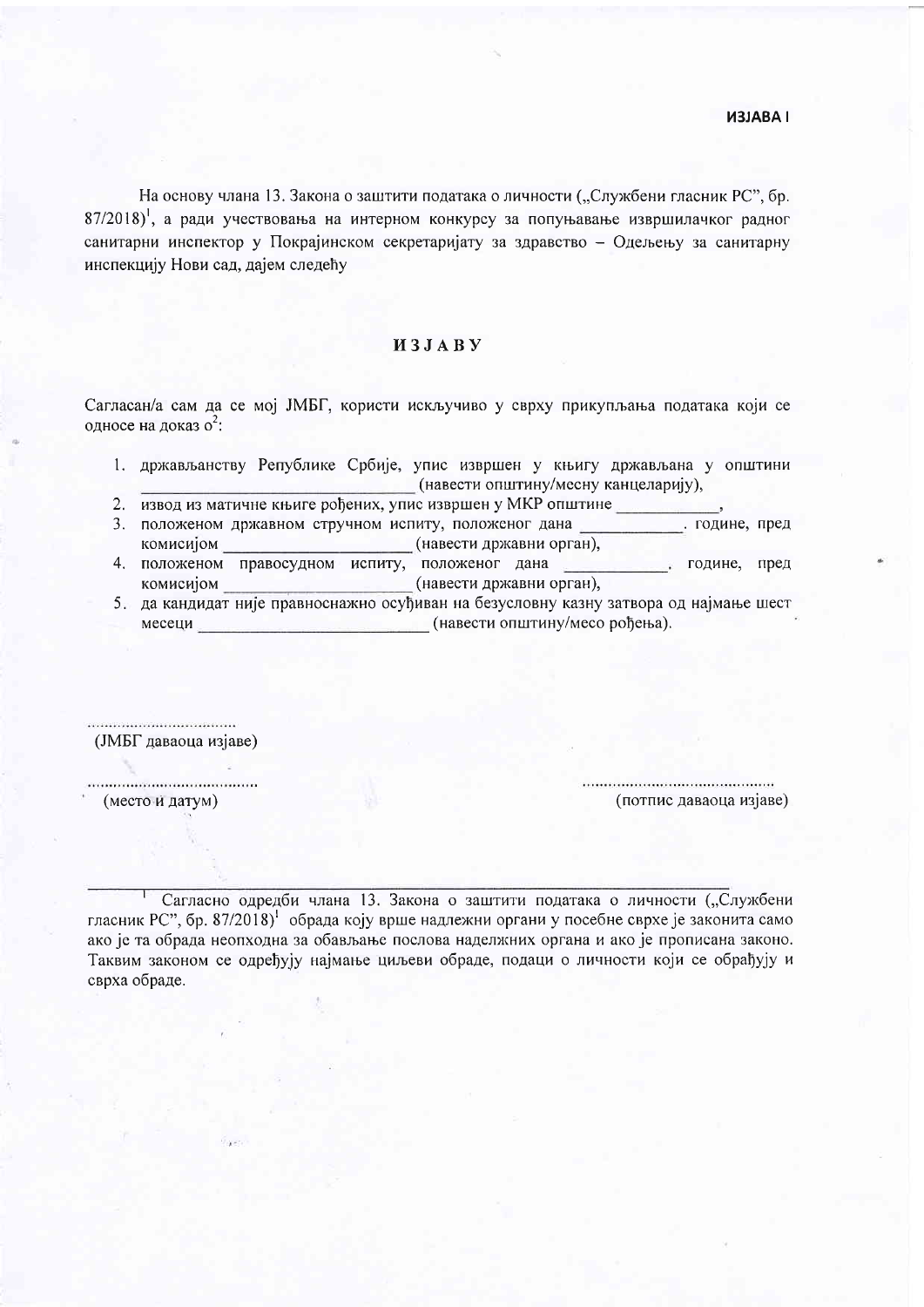## **HABALEN**

На основу члана 13. Закона о заштити података о личности ("Службени гласник РС", бр. 87/2018)<sup>1</sup>, а ради учествовања на интерном конкурсу за попуњавање извршилачког радног санитарни инспектор у Покрајинском секретаријату за здравство - Одељењу за санитарну инспекцију Нови сад, дајем следећу

## *H*<sub>3</sub>*J***A**<sup>B</sup>**y**

Сагласан/а сам да се мој ЈМБГ, користи искључиво у сврху прикупљања података који се односе на доказ о<sup>2</sup>:

- 1. држављанству Републике Србије, упис извршен у књигу држављана у општини (навести општину/месну канцеларију),
- 2. извод из матичне књиге рођених, упис извршен у МКР општине
- 3. положеном државном стручном испиту, положеног дана године, пред (навести државни орган), комисијом
- 4. положеном правосудном испиту, положеног дана године, пред (навести државни орган), комисијом
- 5. да кандидат није правноснажно осуђиван на безусловну казну затвора од најмање шест месеци (навести општину/месо рођења).

................................ (ЈМБГ даваоца изјаве) 

(место и датум)

(потпис даваоца изјаве)

Сагласно одредби члана 13. Закона о заштити података о личности ("Службени гласник РС", бр. 87/2018) обрада коју врше надлежни органи у посебне сврхе је законита само ако је та обрада неопходна за обављање послова наделжних органа и ако је прописана законо. Таквим законом се одређују најмање циљеви обраде, подаци о личности који се обрађују и сврха обраде.